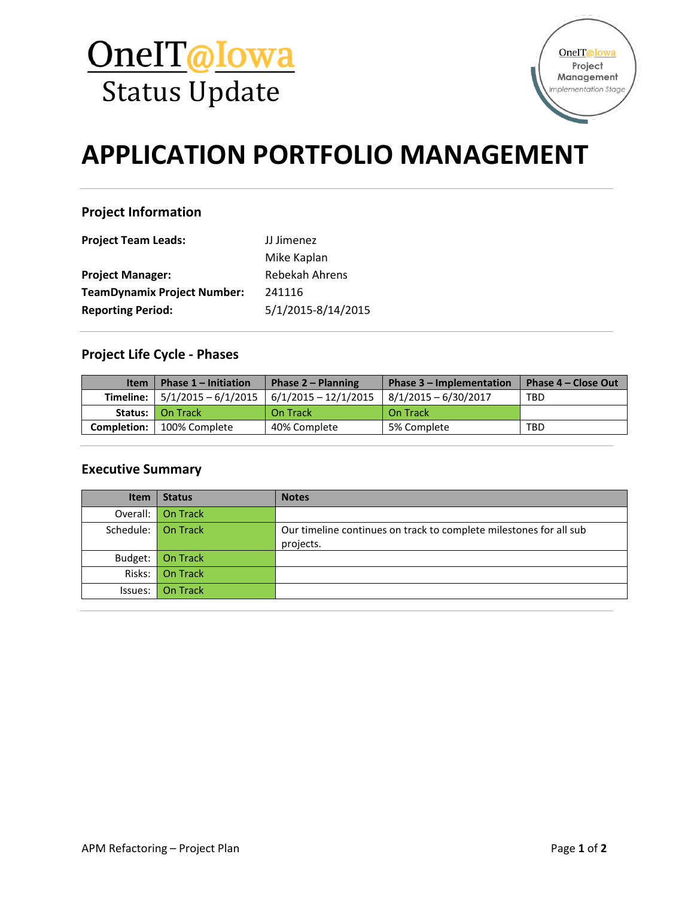



# **APPLICATION PORTFOLIO MANAGEMENT**

# **Project Information**

| <b>Project Team Leads:</b>         | JJ Jimenez         |  |
|------------------------------------|--------------------|--|
|                                    | Mike Kaplan        |  |
| <b>Project Manager:</b>            | Rebekah Ahrens     |  |
| <b>TeamDynamix Project Number:</b> | 241116             |  |
| <b>Reporting Period:</b>           | 5/1/2015-8/14/2015 |  |

# **Project Life Cycle - Phases**

| <b>Item</b> | Phase $1$ – Initiation    | Phase $2 -$ Planning   | Phase 3 - Implementation | Phase 4 – Close Out |
|-------------|---------------------------|------------------------|--------------------------|---------------------|
| Timeline: I | $5/1/2015 - 6/1/2015$     | $6/1/2015 - 12/1/2015$ | $8/1/2015 - 6/30/2017$   | <b>TBD</b>          |
|             | <b>Status:</b>   On Track | On Track               | On Track                 |                     |
| Completion: | 100% Complete             | 40% Complete           | 5% Complete              | <b>TBD</b>          |

# **Executive Summary**

| <b>Item</b>        | <b>Status</b>     | <b>Notes</b>                                                       |
|--------------------|-------------------|--------------------------------------------------------------------|
|                    | Overall: On Track |                                                                    |
| Schedule: On Track |                   | Our timeline continues on track to complete milestones for all sub |
|                    |                   | projects.                                                          |
| Budget:            | On Track          |                                                                    |
|                    | Risks: On Track   |                                                                    |
| Issues:            | On Track          |                                                                    |